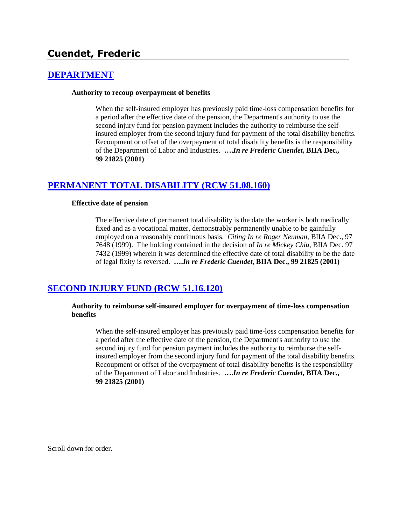# **Cuendet, Frederic**

## **[DEPARTMENT](http://www.biia.wa.gov/SDSubjectIndex.html#DEPARTMENT)**

#### **Authority to recoup overpayment of benefits**

When the self-insured employer has previously paid time-loss compensation benefits for a period after the effective date of the pension, the Department's authority to use the second injury fund for pension payment includes the authority to reimburse the selfinsured employer from the second injury fund for payment of the total disability benefits. Recoupment or offset of the overpayment of total disability benefits is the responsibility of the Department of Labor and Industries. **….***In re Frederic Cuendet***, BIIA Dec., 99 21825 (2001)**

# **[PERMANENT TOTAL DISABILITY \(RCW 51.08.160\)](http://www.biia.wa.gov/SDSubjectIndex.html#PERMANENT_TOTAL_DISABILITY)**

#### **Effective date of pension**

The effective date of permanent total disability is the date the worker is both medically fixed and as a vocational matter, demonstrably permanently unable to be gainfully employed on a reasonably continuous basis. *Citing In re Roger Neuman,* BIIA Dec., 97 7648 (1999). The holding contained in the decision of *In re Mickey Chiu,* BIIA Dec. 97 7432 (1999) wherein it was determined the effective date of total disability to be the date of legal fixity is reversed. **….***In re Frederic Cuendet***, BIIA Dec., 99 21825 (2001)**

# **[SECOND INJURY FUND \(RCW 51.16.120\)](http://www.biia.wa.gov/SDSubjectIndex.html#SECOND_INJURY_FUND)**

#### **Authority to reimburse self-insured employer for overpayment of time-loss compensation benefits**

When the self-insured employer has previously paid time-loss compensation benefits for a period after the effective date of the pension, the Department's authority to use the second injury fund for pension payment includes the authority to reimburse the selfinsured employer from the second injury fund for payment of the total disability benefits. Recoupment or offset of the overpayment of total disability benefits is the responsibility of the Department of Labor and Industries. **….***In re Frederic Cuendet***, BIIA Dec., 99 21825 (2001)**

Scroll down for order.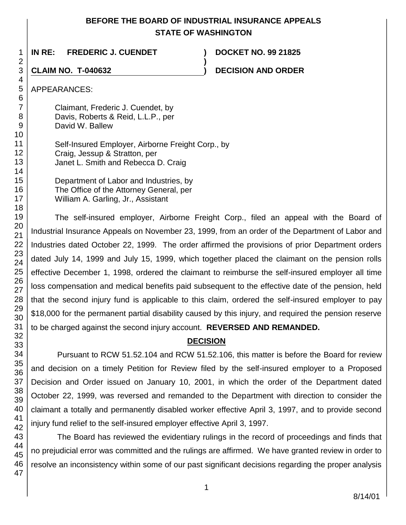# **BEFORE THE BOARD OF INDUSTRIAL INSURANCE APPEALS STATE OF WASHINGTON**

**)**

1 **IN RE: FREDERIC J. CUENDET ) DOCKET NO. 99 21825**

**CLAIM NO. T-040632 ) DECISION AND ORDER** 

APPEARANCES:

Claimant, Frederic J. Cuendet, by Davis, Roberts & Reid, L.L.P., per David W. Ballew

Self-Insured Employer, Airborne Freight Corp., by Craig, Jessup & Stratton, per Janet L. Smith and Rebecca D. Craig

Department of Labor and Industries, by The Office of the Attorney General, per William A. Garling, Jr., Assistant

The self-insured employer, Airborne Freight Corp., filed an appeal with the Board of Industrial Insurance Appeals on November 23, 1999, from an order of the Department of Labor and Industries dated October 22, 1999. The order affirmed the provisions of prior Department orders dated July 14, 1999 and July 15, 1999, which together placed the claimant on the pension rolls effective December 1, 1998, ordered the claimant to reimburse the self-insured employer all time loss compensation and medical benefits paid subsequent to the effective date of the pension, held that the second injury fund is applicable to this claim, ordered the self-insured employer to pay \$18,000 for the permanent partial disability caused by this injury, and required the pension reserve to be charged against the second injury account. **REVERSED AND REMANDED.**

# **DECISION**

Pursuant to RCW 51.52.104 and RCW 51.52.106, this matter is before the Board for review and decision on a timely Petition for Review filed by the self-insured employer to a Proposed Decision and Order issued on January 10, 2001, in which the order of the Department dated October 22, 1999, was reversed and remanded to the Department with direction to consider the claimant a totally and permanently disabled worker effective April 3, 1997, and to provide second injury fund relief to the self-insured employer effective April 3, 1997.

The Board has reviewed the evidentiary rulings in the record of proceedings and finds that no prejudicial error was committed and the rulings are affirmed. We have granted review in order to resolve an inconsistency within some of our past significant decisions regarding the proper analysis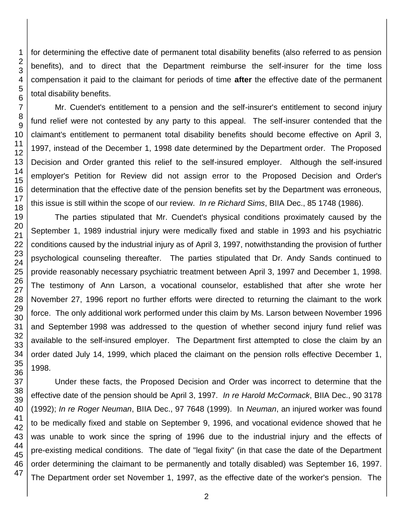46 47

1 2 3 for determining the effective date of permanent total disability benefits (also referred to as pension benefits), and to direct that the Department reimburse the self-insurer for the time loss compensation it paid to the claimant for periods of time **after** the effective date of the permanent total disability benefits.

Mr. Cuendet's entitlement to a pension and the self-insurer's entitlement to second injury fund relief were not contested by any party to this appeal. The self-insurer contended that the claimant's entitlement to permanent total disability benefits should become effective on April 3, 1997, instead of the December 1, 1998 date determined by the Department order. The Proposed Decision and Order granted this relief to the self-insured employer. Although the self-insured employer's Petition for Review did not assign error to the Proposed Decision and Order's determination that the effective date of the pension benefits set by the Department was erroneous, this issue is still within the scope of our review. *In re Richard Sims*, BIIA Dec., 85 1748 (1986).

The parties stipulated that Mr. Cuendet's physical conditions proximately caused by the September 1, 1989 industrial injury were medically fixed and stable in 1993 and his psychiatric conditions caused by the industrial injury as of April 3, 1997, notwithstanding the provision of further psychological counseling thereafter. The parties stipulated that Dr. Andy Sands continued to provide reasonably necessary psychiatric treatment between April 3, 1997 and December 1, 1998. The testimony of Ann Larson, a vocational counselor, established that after she wrote her November 27, 1996 report no further efforts were directed to returning the claimant to the work force. The only additional work performed under this claim by Ms. Larson between November 1996 and September 1998 was addressed to the question of whether second injury fund relief was available to the self-insured employer. The Department first attempted to close the claim by an order dated July 14, 1999, which placed the claimant on the pension rolls effective December 1,

Under these facts, the Proposed Decision and Order was incorrect to determine that the effective date of the pension should be April 3, 1997. *In re Harold McCormack*, BIIA Dec., 90 3178 (1992); *In re Roger Neuman*, BIIA Dec., 97 7648 (1999). In *Neuman*, an injured worker was found to be medically fixed and stable on September 9, 1996, and vocational evidence showed that he was unable to work since the spring of 1996 due to the industrial injury and the effects of pre-existing medical conditions. The date of "legal fixity" (in that case the date of the Department order determining the claimant to be permanently and totally disabled) was September 16, 1997. The Department order set November 1, 1997, as the effective date of the worker's pension. The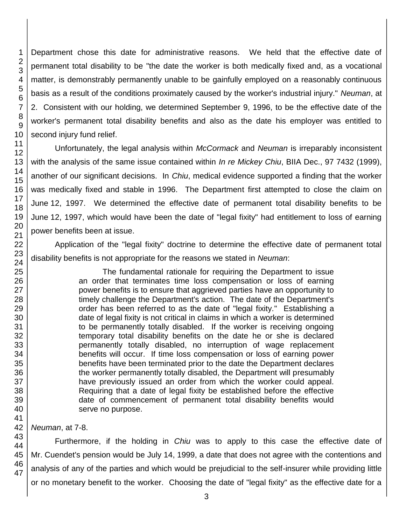Department chose this date for administrative reasons. We held that the effective date of permanent total disability to be "the date the worker is both medically fixed and, as a vocational matter, is demonstrably permanently unable to be gainfully employed on a reasonably continuous basis as a result of the conditions proximately caused by the worker's industrial injury." *Neuman*, at 2. Consistent with our holding, we determined September 9, 1996, to be the effective date of the worker's permanent total disability benefits and also as the date his employer was entitled to second injury fund relief.

Unfortunately, the legal analysis within *McCormack* and *Neuman* is irreparably inconsistent with the analysis of the same issue contained within *In re Mickey Chiu*, BIIA Dec., 97 7432 (1999), another of our significant decisions. In *Chiu*, medical evidence supported a finding that the worker was medically fixed and stable in 1996. The Department first attempted to close the claim on June 12, 1997. We determined the effective date of permanent total disability benefits to be June 12, 1997, which would have been the date of "legal fixity" had entitlement to loss of earning power benefits been at issue.

Application of the "legal fixity" doctrine to determine the effective date of permanent total disability benefits is not appropriate for the reasons we stated in *Neuman*:

> The fundamental rationale for requiring the Department to issue an order that terminates time loss compensation or loss of earning power benefits is to ensure that aggrieved parties have an opportunity to timely challenge the Department's action. The date of the Department's order has been referred to as the date of "legal fixity." Establishing a date of legal fixity is not critical in claims in which a worker is determined to be permanently totally disabled. If the worker is receiving ongoing temporary total disability benefits on the date he or she is declared permanently totally disabled, no interruption of wage replacement benefits will occur. If time loss compensation or loss of earning power benefits have been terminated prior to the date the Department declares the worker permanently totally disabled, the Department will presumably have previously issued an order from which the worker could appeal. Requiring that a date of legal fixity be established before the effective date of commencement of permanent total disability benefits would serve no purpose.

*Neuman*, at 7-8.

Furthermore, if the holding in *Chiu* was to apply to this case the effective date of Mr. Cuendet's pension would be July 14, 1999, a date that does not agree with the contentions and analysis of any of the parties and which would be prejudicial to the self-insurer while providing little or no monetary benefit to the worker. Choosing the date of "legal fixity" as the effective date for a

1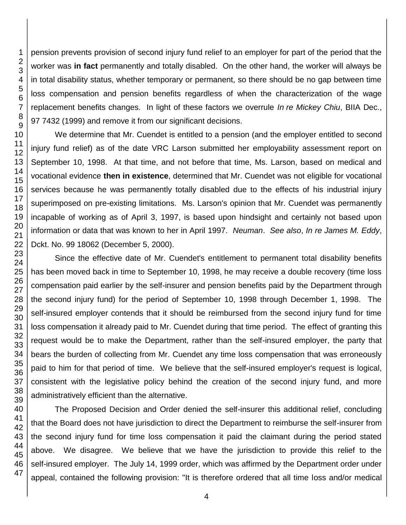pension prevents provision of second injury fund relief to an employer for part of the period that the worker was **in fact** permanently and totally disabled. On the other hand, the worker will always be in total disability status, whether temporary or permanent, so there should be no gap between time loss compensation and pension benefits regardless of when the characterization of the wage replacement benefits changes. In light of these factors we overrule *In re Mickey Chiu*, BIIA Dec., 97 7432 (1999) and remove it from our significant decisions.

We determine that Mr. Cuendet is entitled to a pension (and the employer entitled to second injury fund relief) as of the date VRC Larson submitted her employability assessment report on September 10, 1998. At that time, and not before that time, Ms. Larson, based on medical and vocational evidence **then in existence**, determined that Mr. Cuendet was not eligible for vocational services because he was permanently totally disabled due to the effects of his industrial injury superimposed on pre-existing limitations. Ms. Larson's opinion that Mr. Cuendet was permanently incapable of working as of April 3, 1997, is based upon hindsight and certainly not based upon information or data that was known to her in April 1997. *Neuman*. *See also*, *In re James M. Eddy*, Dckt. No. 99 18062 (December 5, 2000).

Since the effective date of Mr. Cuendet's entitlement to permanent total disability benefits has been moved back in time to September 10, 1998, he may receive a double recovery (time loss compensation paid earlier by the self-insurer and pension benefits paid by the Department through the second injury fund) for the period of September 10, 1998 through December 1, 1998. The self-insured employer contends that it should be reimbursed from the second injury fund for time loss compensation it already paid to Mr. Cuendet during that time period. The effect of granting this request would be to make the Department, rather than the self-insured employer, the party that bears the burden of collecting from Mr. Cuendet any time loss compensation that was erroneously paid to him for that period of time. We believe that the self-insured employer's request is logical, consistent with the legislative policy behind the creation of the second injury fund, and more administratively efficient than the alternative.

The Proposed Decision and Order denied the self-insurer this additional relief, concluding that the Board does not have jurisdiction to direct the Department to reimburse the self-insurer from the second injury fund for time loss compensation it paid the claimant during the period stated above. We disagree. We believe that we have the jurisdiction to provide this relief to the self-insured employer. The July 14, 1999 order, which was affirmed by the Department order under appeal, contained the following provision: "It is therefore ordered that all time loss and/or medical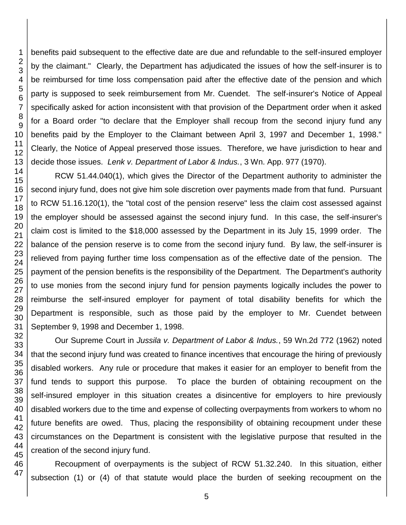45 46 47

1 2 3 benefits paid subsequent to the effective date are due and refundable to the self-insured employer by the claimant." Clearly, the Department has adjudicated the issues of how the self-insurer is to be reimbursed for time loss compensation paid after the effective date of the pension and which party is supposed to seek reimbursement from Mr. Cuendet. The self-insurer's Notice of Appeal specifically asked for action inconsistent with that provision of the Department order when it asked for a Board order "to declare that the Employer shall recoup from the second injury fund any benefits paid by the Employer to the Claimant between April 3, 1997 and December 1, 1998." Clearly, the Notice of Appeal preserved those issues. Therefore, we have jurisdiction to hear and decide those issues. *Lenk v. Department of Labor & Indus.*, 3 Wn. App. 977 (1970).

RCW 51.44.040(1), which gives the Director of the Department authority to administer the second injury fund, does not give him sole discretion over payments made from that fund. Pursuant to RCW 51.16.120(1), the "total cost of the pension reserve" less the claim cost assessed against the employer should be assessed against the second injury fund. In this case, the self-insurer's claim cost is limited to the \$18,000 assessed by the Department in its July 15, 1999 order. The balance of the pension reserve is to come from the second injury fund. By law, the self-insurer is relieved from paying further time loss compensation as of the effective date of the pension. The payment of the pension benefits is the responsibility of the Department. The Department's authority to use monies from the second injury fund for pension payments logically includes the power to reimburse the self-insured employer for payment of total disability benefits for which the Department is responsible, such as those paid by the employer to Mr. Cuendet between September 9, 1998 and December 1, 1998.

Our Supreme Court in *Jussila v. Department of Labor & Indus.*, 59 Wn.2d 772 (1962) noted that the second injury fund was created to finance incentives that encourage the hiring of previously disabled workers. Any rule or procedure that makes it easier for an employer to benefit from the fund tends to support this purpose. To place the burden of obtaining recoupment on the self-insured employer in this situation creates a disincentive for employers to hire previously disabled workers due to the time and expense of collecting overpayments from workers to whom no future benefits are owed. Thus, placing the responsibility of obtaining recoupment under these circumstances on the Department is consistent with the legislative purpose that resulted in the creation of the second injury fund.

Recoupment of overpayments is the subject of RCW 51.32.240. In this situation, either subsection (1) or (4) of that statute would place the burden of seeking recoupment on the

5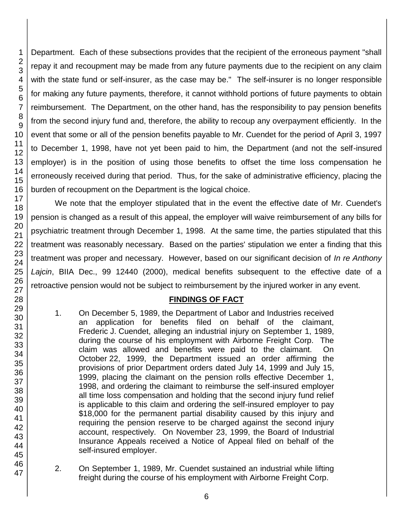Department. Each of these subsections provides that the recipient of the erroneous payment "shall repay it and recoupment may be made from any future payments due to the recipient on any claim with the state fund or self-insurer, as the case may be." The self-insurer is no longer responsible for making any future payments, therefore, it cannot withhold portions of future payments to obtain reimbursement. The Department, on the other hand, has the responsibility to pay pension benefits from the second injury fund and, therefore, the ability to recoup any overpayment efficiently. In the event that some or all of the pension benefits payable to Mr. Cuendet for the period of April 3, 1997 to December 1, 1998, have not yet been paid to him, the Department (and not the self-insured employer) is in the position of using those benefits to offset the time loss compensation he erroneously received during that period. Thus, for the sake of administrative efficiency, placing the burden of recoupment on the Department is the logical choice.

We note that the employer stipulated that in the event the effective date of Mr. Cuendet's pension is changed as a result of this appeal, the employer will waive reimbursement of any bills for psychiatric treatment through December 1, 1998. At the same time, the parties stipulated that this treatment was reasonably necessary. Based on the parties' stipulation we enter a finding that this treatment was proper and necessary. However, based on our significant decision of *In re Anthony Lajcin*, BIIA Dec., 99 12440 (2000), medical benefits subsequent to the effective date of a retroactive pension would not be subject to reimbursement by the injured worker in any event.

# **FINDINGS OF FACT**

- 1. On December 5, 1989, the Department of Labor and Industries received an application for benefits filed on behalf of the claimant, Frederic J. Cuendet, alleging an industrial injury on September 1, 1989, during the course of his employment with Airborne Freight Corp. The claim was allowed and benefits were paid to the claimant. On October 22, 1999, the Department issued an order affirming the provisions of prior Department orders dated July 14, 1999 and July 15, 1999, placing the claimant on the pension rolls effective December 1, 1998, and ordering the claimant to reimburse the self-insured employer all time loss compensation and holding that the second injury fund relief is applicable to this claim and ordering the self-insured employer to pay \$18,000 for the permanent partial disability caused by this injury and requiring the pension reserve to be charged against the second injury account, respectively. On November 23, 1999, the Board of Industrial Insurance Appeals received a Notice of Appeal filed on behalf of the self-insured employer.
- 2. On September 1, 1989, Mr. Cuendet sustained an industrial while lifting freight during the course of his employment with Airborne Freight Corp.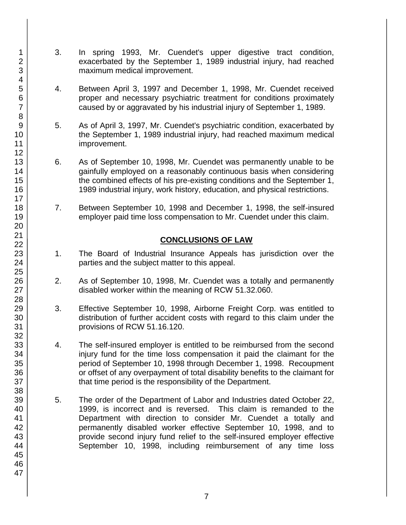- 3. In spring 1993, Mr. Cuendet's upper digestive tract condition, exacerbated by the September 1, 1989 industrial injury, had reached maximum medical improvement.
- 4. Between April 3, 1997 and December 1, 1998, Mr. Cuendet received proper and necessary psychiatric treatment for conditions proximately caused by or aggravated by his industrial injury of September 1, 1989.
- 5. As of April 3, 1997, Mr. Cuendet's psychiatric condition, exacerbated by the September 1, 1989 industrial injury, had reached maximum medical improvement.
- 6. As of September 10, 1998, Mr. Cuendet was permanently unable to be gainfully employed on a reasonably continuous basis when considering the combined effects of his pre-existing conditions and the September 1, 1989 industrial injury, work history, education, and physical restrictions.
- 7. Between September 10, 1998 and December 1, 1998, the self-insured employer paid time loss compensation to Mr. Cuendet under this claim.

# **CONCLUSIONS OF LAW**

- 1. The Board of Industrial Insurance Appeals has jurisdiction over the parties and the subject matter to this appeal.
- 2. As of September 10, 1998, Mr. Cuendet was a totally and permanently disabled worker within the meaning of RCW 51.32.060.
- 3. Effective September 10, 1998, Airborne Freight Corp. was entitled to distribution of further accident costs with regard to this claim under the provisions of RCW 51.16.120.
- 4. The self-insured employer is entitled to be reimbursed from the second injury fund for the time loss compensation it paid the claimant for the period of September 10, 1998 through December 1, 1998. Recoupment or offset of any overpayment of total disability benefits to the claimant for that time period is the responsibility of the Department.
- 5. The order of the Department of Labor and Industries dated October 22, 1999, is incorrect and is reversed. This claim is remanded to the Department with direction to consider Mr. Cuendet a totally and permanently disabled worker effective September 10, 1998, and to provide second injury fund relief to the self-insured employer effective September 10, 1998, including reimbursement of any time loss